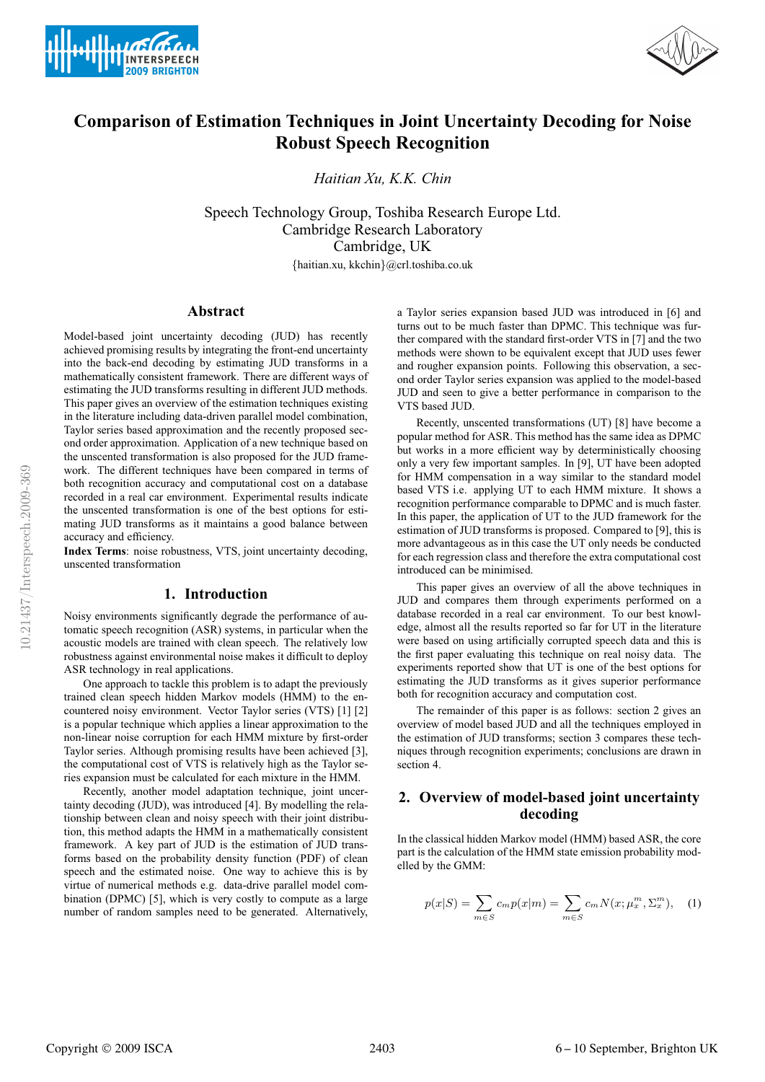



# **Comparison of Estimation Techniques in Joint Uncertainty Decoding for Noise Robust Speech Recognition**

*Haitian Xu, K.K. Chin*

Speech Technology Group, Toshiba Research Europe Ltd. Cambridge Research Laboratory Cambridge, UK

{haitian.xu, kkchin}@crl.toshiba.co.uk

# **Abstract**

Model-based joint uncertainty decoding (JUD) has recently achieved promising results by integrating the front-end uncertainty into the back-end decoding by estimating JUD transforms in a mathematically consistent framework. There are different ways of estimating the JUD transforms resulting in different JUD methods. This paper gives an overview of the estimation techniques existing in the literature including data-driven parallel model combination, Taylor series based approximation and the recently proposed second order approximation. Application of a new technique based on the unscented transformation is also proposed for the JUD framework. The different techniques have been compared in terms of both recognition accuracy and computational cost on a database recorded in a real car environment. Experimental results indicate the unscented transformation is one of the best options for estimating JUD transforms as it maintains a good balance between accuracy and efficiency.

**Index Terms**: noise robustness, VTS, joint uncertainty decoding, unscented transformation

### **1. Introduction**

Noisy environments significantly degrade the performance of automatic speech recognition (ASR) systems, in particular when the acoustic models are trained with clean speech. The relatively low robustness against environmental noise makes it difficult to deploy ASR technology in real applications.

One approach to tackle this problem is to adapt the previously trained clean speech hidden Markov models (HMM) to the encountered noisy environment. Vector Taylor series (VTS) [1] [2] is a popular technique which applies a linear approximation to the non-linear noise corruption for each HMM mixture by first-order Taylor series. Although promising results have been achieved [3], the computational cost of VTS is relatively high as the Taylor series expansion must be calculated for each mixture in the HMM.

Recently, another model adaptation technique, joint uncertainty decoding (JUD), was introduced [4]. By modelling the relationship between clean and noisy speech with their joint distribution, this method adapts the HMM in a mathematically consistent framework. A key part of JUD is the estimation of JUD transforms based on the probability density function (PDF) of clean speech and the estimated noise. One way to achieve this is by virtue of numerical methods e.g. data-drive parallel model combination (DPMC) [5], which is very costly to compute as a large number of random samples need to be generated. Alternatively,

a Taylor series expansion based JUD was introduced in [6] and turns out to be much faster than DPMC. This technique was further compared with the standard first-order VTS in [7] and the two methods were shown to be equivalent except that JUD uses fewer and rougher expansion points. Following this observation, a second order Taylor series expansion was applied to the model-based JUD and seen to give a better performance in comparison to the VTS based JUD.

Recently, unscented transformations (UT) [8] have become a popular method for ASR. This method has the same idea as DPMC but works in a more efficient way by deterministically choosing only a very few important samples. In [9], UT have been adopted for HMM compensation in a way similar to the standard model based VTS i.e. applying UT to each HMM mixture. It shows a recognition performance comparable to DPMC and is much faster. In this paper, the application of UT to the JUD framework for the estimation of JUD transforms is proposed. Compared to [9], this is more advantageous as in this case the UT only needs be conducted for each regression class and therefore the extra computational cost introduced can be minimised.

This paper gives an overview of all the above techniques in JUD and compares them through experiments performed on a database recorded in a real car environment. To our best knowledge, almost all the results reported so far for UT in the literature were based on using artificially corrupted speech data and this is the first paper evaluating this technique on real noisy data. The experiments reported show that UT is one of the best options for estimating the JUD transforms as it gives superior performance both for recognition accuracy and computation cost.

The remainder of this paper is as follows: section 2 gives an overview of model based JUD and all the techniques employed in the estimation of JUD transforms; section 3 compares these techniques through recognition experiments; conclusions are drawn in section 4.

# **2. Overview of model-based joint uncertainty decoding**

In the classical hidden Markov model (HMM) based ASR, the core part is the calculation of the HMM state emission probability modelled by the GMM:

$$
p(x|S) = \sum_{m \in S} c_m p(x|m) = \sum_{m \in S} c_m N(x; \mu_x^m, \Sigma_x^m), \quad (1)
$$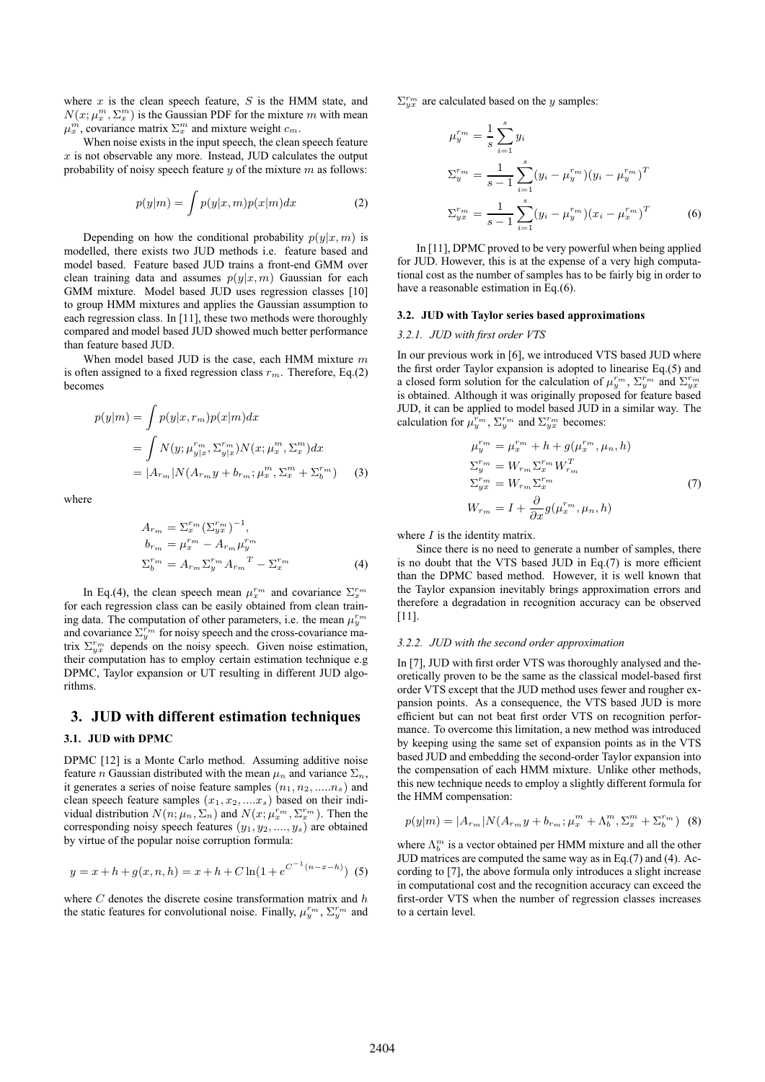where  $x$  is the clean speech feature,  $S$  is the HMM state, and  $N(x; \mu_x^m, \Sigma_x^m)$  is the Gaussian PDF for the mixture m with mean  $\mu_x^m$ , covariance matrix  $\Sigma_x^m$  and mixture weight  $c_m$ .

When noise exists in the input speech, the clean speech feature  $x$  is not observable any more. Instead, JUD calculates the output probability of noisy speech feature  $y$  of the mixture  $m$  as follows:

$$
p(y|m) = \int p(y|x,m)p(x|m)dx
$$
 (2)

Depending on how the conditional probability  $p(y|x,m)$  is modelled, there exists two JUD methods i.e. feature based and model based. Feature based JUD trains a front-end GMM over clean training data and assumes  $p(y|x,m)$  Gaussian for each GMM mixture. Model based JUD uses regression classes [10] to group HMM mixtures and applies the Gaussian assumption to each regression class. In [11], these two methods were thoroughly compared and model based JUD showed much better performance than feature based JUD.

When model based JUD is the case, each HMM mixture  $m$ is often assigned to a fixed regression class  $r_m$ . Therefore, Eq.(2) becomes

$$
p(y|m) = \int p(y|x, r_m)p(x|m)dx
$$
  
= 
$$
\int N(y; \mu_{y|x}^{r_m}, \Sigma_{y|x}^{r_m}) N(x; \mu_x^m, \Sigma_x^m) dx
$$
  
= 
$$
|A_{r_m}| N(A_{r_m} y + b_{r_m}; \mu_x^m, \Sigma_x^m + \Sigma_b^{r_m})
$$
 (3)

where

$$
A_{r_m} = \Sigma_x^{r_m} (\Sigma_{yx}^{r_m})^{-1},
$$
  
\n
$$
b_{r_m} = \mu_x^{r_m} - A_{r_m} \mu_y^{r_m}
$$
  
\n
$$
\Sigma_b^{r_m} = A_{r_m} \Sigma_y^{r_m} A_{r_m}^T - \Sigma_x^{r_m}
$$
\n(4)

In Eq.(4), the clean speech mean  $\mu_x^{r_m}$  and covariance  $\Sigma_x^{r_m}$ for each regression class can be easily obtained from clean training data. The computation of other parameters, i.e. the mean  $\mu_{u}^{r_m}$ and covariance  $\Sigma_{y}^{r_m}$  for noisy speech and the cross-covariance matrix  $\Sigma_{yx}^{r_m}$  depends on the noisy speech. Given noise estimation, their computation has to employ certain estimation technique e.g DPMC, Taylor expansion or UT resulting in different JUD algorithms.

## **3. JUD with different estimation techniques**

### **3.1. JUD with DPMC**

DPMC [12] is a Monte Carlo method. Assuming additive noise feature *n* Gaussian distributed with the mean  $\mu_n$  and variance  $\Sigma_n$ , it generates a series of noise feature samples  $(n_1, n_2, ....n_s)$  and clean speech feature samples  $(x_1, x_2, \ldots x_s)$  based on their individual distribution  $N(n; \mu_n, \Sigma_n)$  and  $N(x; \mu_x^{r_m}, \Sigma_x^{r_m})$ . Then the corresponding noisy speech features  $(y_1, y_2, \ldots, y_s)$  are obtained by virtue of the popular noise corruption formula:

$$
y = x + h + g(x, n, h) = x + h + C \ln(1 + e^{C^{-1}(n - x - h)})
$$
 (5)

where  $C$  denotes the discrete cosine transformation matrix and  $h$ the static features for convolutional noise. Finally,  $\mu_y^{r_m}$ ,  $\Sigma_y^{r_m}$  and  $\Sigma_{vx}^{r_m}$  are calculated based on the y samples:

$$
\mu_{y}^{r_{m}} = \frac{1}{s} \sum_{i=1}^{s} y_{i}
$$
\n
$$
\Sigma_{y}^{r_{m}} = \frac{1}{s-1} \sum_{i=1}^{s} (y_{i} - \mu_{y}^{r_{m}})(y_{i} - \mu_{y}^{r_{m}})^{T}
$$
\n
$$
\Sigma_{yx}^{r_{m}} = \frac{1}{s-1} \sum_{i=1}^{s} (y_{i} - \mu_{y}^{r_{m}})(x_{i} - \mu_{x}^{r_{m}})^{T}
$$
\n(6)

In [11], DPMC proved to be very powerful when being applied for JUD. However, this is at the expense of a very high computational cost as the number of samples has to be fairly big in order to have a reasonable estimation in Eq.(6).

## **3.2. JUD with Taylor series based approximations**

#### *3.2.1. JUD with first order VTS*

In our previous work in [6], we introduced VTS based JUD where the first order Taylor expansion is adopted to linearise Eq.(5) and a closed form solution for the calculation of  $\mu_y^{r_m}$ ,  $\Sigma_y^{r_m}$  and  $\Sigma_{yx}^{r_m}$ is obtained. Although it was originally proposed for feature based JUD, it can be applied to model based JUD in a similar way. The calculation for  $\mu_y^{r_m}$ ,  $\Sigma_y^{r_m}$  and  $\Sigma_{yx}^{r_m}$  becomes:

$$
\mu_y^{r_m} = \mu_x^{r_m} + h + g(\mu_x^{r_m}, \mu_n, h)
$$
  
\n
$$
\Sigma_y^{r_m} = W_{r_m} \Sigma_x^{r_m} W_{r_m}^T
$$
  
\n
$$
\Sigma_{yx}^{r_m} = W_{r_m} \Sigma_x^{r_m}
$$
  
\n
$$
W_{r_m} = I + \frac{\partial}{\partial x} g(\mu_x^{r_m}, \mu_n, h)
$$
\n(7)

where  $I$  is the identity matrix.

Since there is no need to generate a number of samples, there is no doubt that the VTS based JUD in Eq.(7) is more efficient than the DPMC based method. However, it is well known that the Taylor expansion inevitably brings approximation errors and therefore a degradation in recognition accuracy can be observed [11].

#### *3.2.2. JUD with the second order approximation*

In [7], JUD with first order VTS was thoroughly analysed and theoretically proven to be the same as the classical model-based first order VTS except that the JUD method uses fewer and rougher expansion points. As a consequence, the VTS based JUD is more efficient but can not beat first order VTS on recognition performance. To overcome this limitation, a new method was introduced by keeping using the same set of expansion points as in the VTS based JUD and embedding the second-order Taylor expansion into the compensation of each HMM mixture. Unlike other methods, this new technique needs to employ a slightly different formula for the HMM compensation:

$$
p(y|m) = |A_{r_m}| N(A_{r_m} y + b_{r_m}; \mu_x^m + \Lambda_b^m, \Sigma_x^m + \Sigma_b^{r_m})
$$
 (8)

where  $\Lambda_b^m$  is a vector obtained per HMM mixture and all the other JUD matrices are computed the same way as in Eq.(7) and (4). According to [7], the above formula only introduces a slight increase in computational cost and the recognition accuracy can exceed the first-order VTS when the number of regression classes increases to a certain level.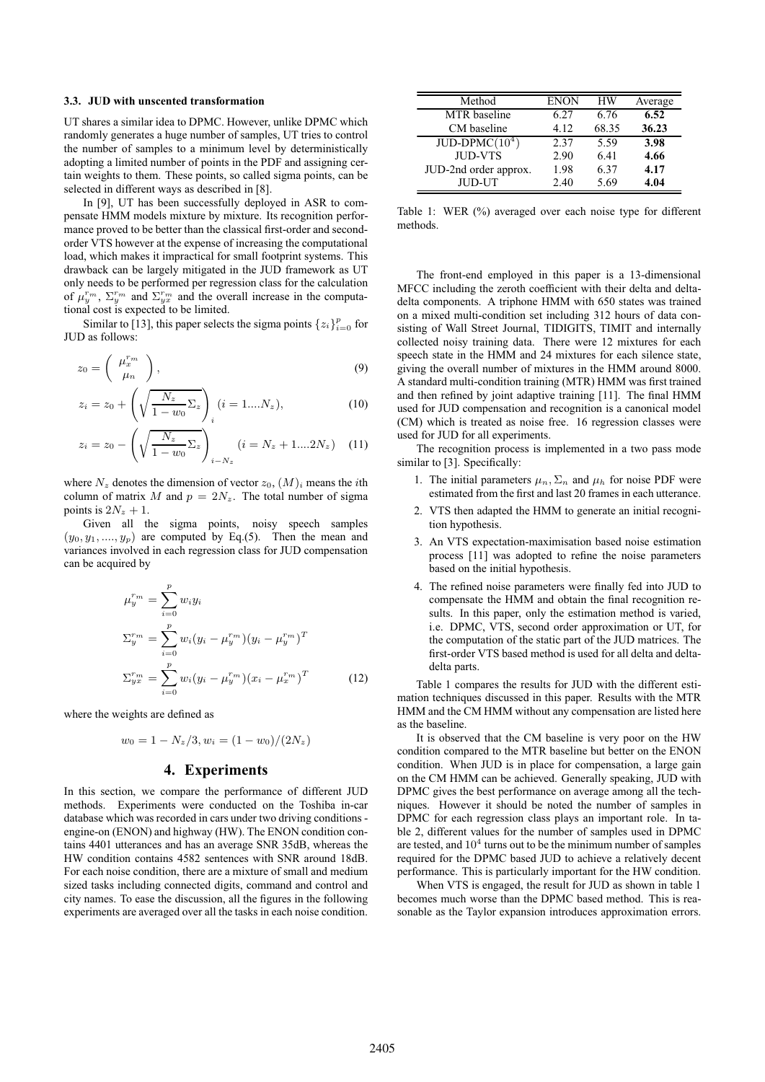#### **3.3. JUD with unscented transformation**

UT shares a similar idea to DPMC. However, unlike DPMC which randomly generates a huge number of samples, UT tries to control the number of samples to a minimum level by deterministically adopting a limited number of points in the PDF and assigning certain weights to them. These points, so called sigma points, can be selected in different ways as described in [8].

In [9], UT has been successfully deployed in ASR to compensate HMM models mixture by mixture. Its recognition performance proved to be better than the classical first-order and secondorder VTS however at the expense of increasing the computational load, which makes it impractical for small footprint systems. This drawback can be largely mitigated in the JUD framework as UT only needs to be performed per regression class for the calculation of  $\mu_y^{r_m}$ ,  $\Sigma_y^{r_m}$  and  $\Sigma_y^{r_m}$  and the overall increase in the computational cost is expected to be limited.

Similar to [13], this paper selects the sigma points  $\{z_i\}_{i=0}^p$  for JUD as follows:

$$
z_0 = \left(\begin{array}{c} \mu_x^{r_m} \\ \mu_n \end{array}\right),\tag{9}
$$

$$
z_i = z_0 + \left(\sqrt{\frac{N_z}{1 - w_0} \Sigma_z}\right)_i (i = 1....N_z), \tag{10}
$$

$$
z_i = z_0 - \left(\sqrt{\frac{N_z}{1 - w_0}} \Sigma_z\right)_{i - N_z} (i = N_z + 1....2N_z)
$$
 (11)

where  $N_z$  denotes the dimension of vector  $z_0$ ,  $(M)_i$  means the *i*th column of matrix M and  $p = 2N_z$ . The total number of sigma points is  $2N_z + 1$ .

Given all the sigma points, noisy speech samples  $(y_0, y_1, \ldots, y_p)$  are computed by Eq.(5). Then the mean and variances involved in each regression class for JUD compensation can be acquired by

$$
\mu_{y}^{r_{m}} = \sum_{i=0}^{p} w_{i} y_{i}
$$
\n
$$
\Sigma_{y}^{r_{m}} = \sum_{i=0}^{p} w_{i} (y_{i} - \mu_{y}^{r_{m}}) (y_{i} - \mu_{y}^{r_{m}})^{T}
$$
\n
$$
\Sigma_{yx}^{r_{m}} = \sum_{i=0}^{p} w_{i} (y_{i} - \mu_{y}^{r_{m}}) (x_{i} - \mu_{x}^{r_{m}})^{T}
$$
\n(12)

where the weights are defined as

$$
w_0 = 1 - N_z/3, w_i = (1 - w_0)/(2N_z)
$$

### **4. Experiments**

In this section, we compare the performance of different JUD methods. Experiments were conducted on the Toshiba in-car database which was recorded in cars under two driving conditions engine-on (ENON) and highway (HW). The ENON condition contains 4401 utterances and has an average SNR 35dB, whereas the HW condition contains 4582 sentences with SNR around 18dB. For each noise condition, there are a mixture of small and medium sized tasks including connected digits, command and control and city names. To ease the discussion, all the figures in the following experiments are averaged over all the tasks in each noise condition.

| Method                | <b>ENON</b> | HW    | Average |
|-----------------------|-------------|-------|---------|
| <b>MTR</b> baseline   | 6.27        | 6.76  | 6.52    |
| CM baseline           | 4.12        | 68.35 | 36.23   |
| $JUD-DPMC(104)$       | 2.37        | 5.59  | 3.98    |
| <b>JUD-VTS</b>        | 2.90        | 6.41  | 4.66    |
| JUD-2nd order approx. | 1.98        | 6.37  | 4.17    |
| <b>JUD-UT</b>         | 2.40        | 5.69  | 4.04    |

Table 1: WER (%) averaged over each noise type for different methods.

The front-end employed in this paper is a 13-dimensional MFCC including the zeroth coefficient with their delta and deltadelta components. A triphone HMM with 650 states was trained on a mixed multi-condition set including 312 hours of data consisting of Wall Street Journal, TIDIGITS, TIMIT and internally collected noisy training data. There were 12 mixtures for each speech state in the HMM and 24 mixtures for each silence state, giving the overall number of mixtures in the HMM around 8000. A standard multi-condition training (MTR) HMM was first trained and then refined by joint adaptive training [11]. The final HMM used for JUD compensation and recognition is a canonical model (CM) which is treated as noise free. 16 regression classes were used for JUD for all experiments.

The recognition process is implemented in a two pass mode similar to [3]. Specifically:

- 1. The initial parameters  $\mu_n$ ,  $\Sigma_n$  and  $\mu_h$  for noise PDF were estimated from the first and last 20 frames in each utterance.
- 2. VTS then adapted the HMM to generate an initial recognition hypothesis.
- 3. An VTS expectation-maximisation based noise estimation process [11] was adopted to refine the noise parameters based on the initial hypothesis.
- 4. The refined noise parameters were finally fed into JUD to compensate the HMM and obtain the final recognition results. In this paper, only the estimation method is varied, i.e. DPMC, VTS, second order approximation or UT, for the computation of the static part of the JUD matrices. The first-order VTS based method is used for all delta and deltadelta parts.

Table 1 compares the results for JUD with the different estimation techniques discussed in this paper. Results with the MTR HMM and the CM HMM without any compensation are listed here as the baseline.

It is observed that the CM baseline is very poor on the HW condition compared to the MTR baseline but better on the ENON condition. When JUD is in place for compensation, a large gain on the CM HMM can be achieved. Generally speaking, JUD with DPMC gives the best performance on average among all the techniques. However it should be noted the number of samples in DPMC for each regression class plays an important role. In table 2, different values for the number of samples used in DPMC are tested, and  $10<sup>4</sup>$  turns out to be the minimum number of samples required for the DPMC based JUD to achieve a relatively decent performance. This is particularly important for the HW condition.

When VTS is engaged, the result for JUD as shown in table 1 becomes much worse than the DPMC based method. This is reasonable as the Taylor expansion introduces approximation errors.